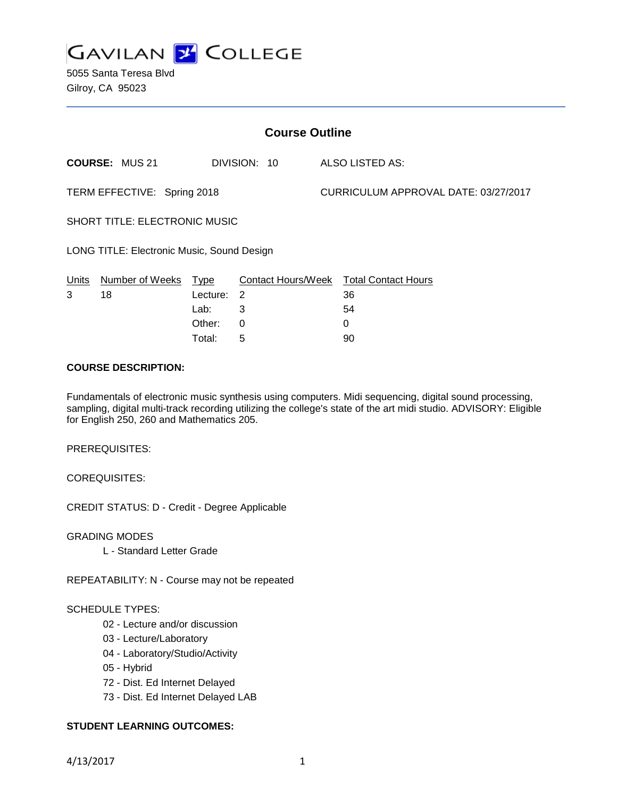

5055 Santa Teresa Blvd Gilroy, CA 95023

| <b>Course Outline</b>                      |                       |          |                    |                                      |                            |
|--------------------------------------------|-----------------------|----------|--------------------|--------------------------------------|----------------------------|
|                                            | <b>COURSE: MUS 21</b> |          | DIVISION: 10       |                                      | ALSO LISTED AS:            |
| TERM EFFECTIVE: Spring 2018                |                       |          |                    | CURRICULUM APPROVAL DATE: 03/27/2017 |                            |
| <b>SHORT TITLE: ELECTRONIC MUSIC</b>       |                       |          |                    |                                      |                            |
| LONG TITLE: Electronic Music, Sound Design |                       |          |                    |                                      |                            |
| Units                                      | Number of Weeks       | Type     | Contact Hours/Week |                                      | <b>Total Contact Hours</b> |
| 3                                          | 18                    | Lecture: | 2                  |                                      | 36                         |
|                                            |                       | Lab:     | 3                  |                                      | 54                         |
|                                            |                       | Other:   | 0                  |                                      | 0                          |

#### **COURSE DESCRIPTION:**

Fundamentals of electronic music synthesis using computers. Midi sequencing, digital sound processing, sampling, digital multi-track recording utilizing the college's state of the art midi studio. ADVISORY: Eligible for English 250, 260 and Mathematics 205.

Total: 5 90

PREREQUISITES:

COREQUISITES:

CREDIT STATUS: D - Credit - Degree Applicable

GRADING MODES

L - Standard Letter Grade

REPEATABILITY: N - Course may not be repeated

#### SCHEDULE TYPES:

- 02 Lecture and/or discussion
- 03 Lecture/Laboratory
- 04 Laboratory/Studio/Activity
- 05 Hybrid
- 72 Dist. Ed Internet Delayed
- 73 Dist. Ed Internet Delayed LAB

### **STUDENT LEARNING OUTCOMES:**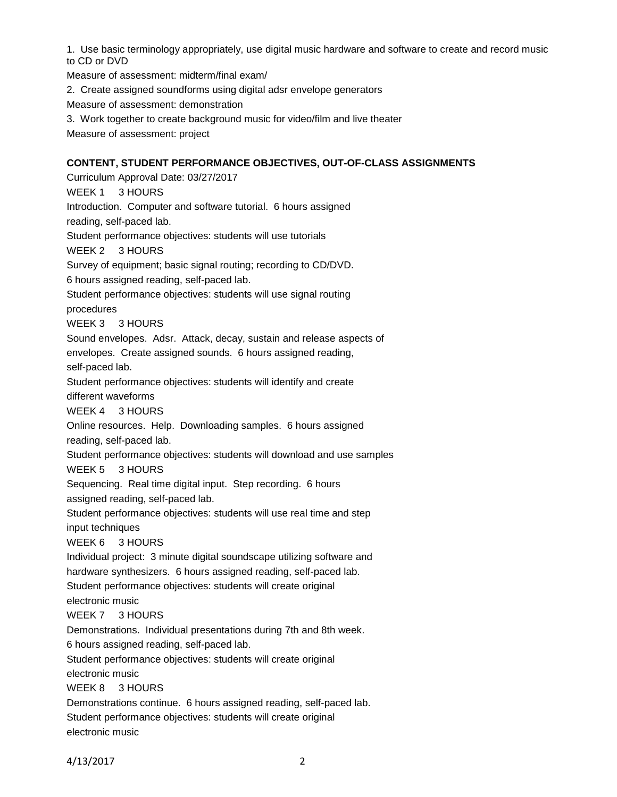1. Use basic terminology appropriately, use digital music hardware and software to create and record music to CD or DVD

Measure of assessment: midterm/final exam/

2. Create assigned soundforms using digital adsr envelope generators

Measure of assessment: demonstration

3. Work together to create background music for video/film and live theater

Measure of assessment: project

### **CONTENT, STUDENT PERFORMANCE OBJECTIVES, OUT-OF-CLASS ASSIGNMENTS**

Curriculum Approval Date: 03/27/2017 WEEK 1 3 HOURS Introduction. Computer and software tutorial. 6 hours assigned reading, self-paced lab. Student performance objectives: students will use tutorials WEEK 2 3 HOURS Survey of equipment; basic signal routing; recording to CD/DVD. 6 hours assigned reading, self-paced lab. Student performance objectives: students will use signal routing procedures WEEK 3 3 HOURS Sound envelopes. Adsr. Attack, decay, sustain and release aspects of envelopes. Create assigned sounds. 6 hours assigned reading, self-paced lab. Student performance objectives: students will identify and create different waveforms WEEK 4 3 HOURS Online resources. Help. Downloading samples. 6 hours assigned reading, self-paced lab. Student performance objectives: students will download and use samples WEEK 5 3 HOURS Sequencing. Real time digital input. Step recording. 6 hours assigned reading, self-paced lab. Student performance objectives: students will use real time and step input techniques WEEK 6 3 HOURS Individual project: 3 minute digital soundscape utilizing software and hardware synthesizers. 6 hours assigned reading, self-paced lab. Student performance objectives: students will create original electronic music WEEK 7 3 HOURS Demonstrations. Individual presentations during 7th and 8th week. 6 hours assigned reading, self-paced lab. Student performance objectives: students will create original electronic music WEEK 8 3 HOURS Demonstrations continue. 6 hours assigned reading, self-paced lab. Student performance objectives: students will create original

electronic music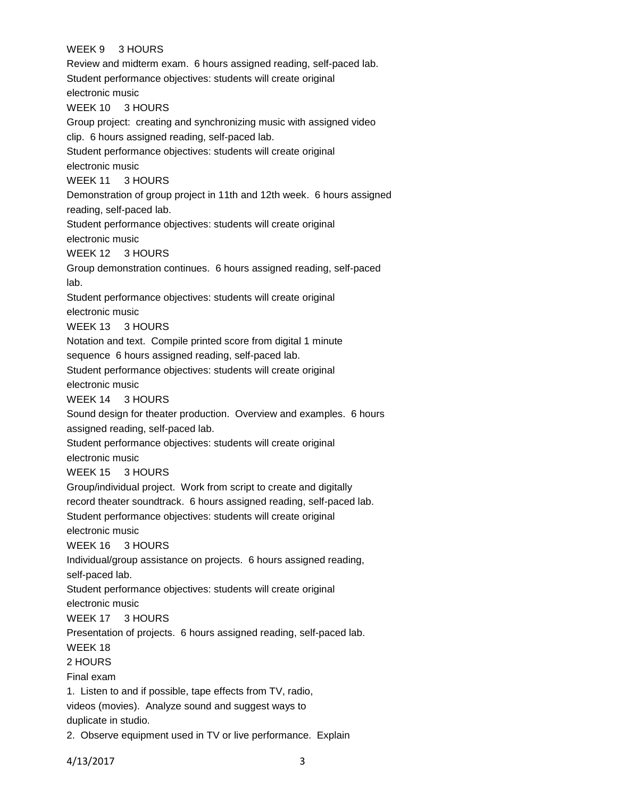### WEEK 9 3 HOURS

Review and midterm exam. 6 hours assigned reading, self-paced lab. Student performance objectives: students will create original electronic music WEEK 10 3 HOURS Group project: creating and synchronizing music with assigned video clip. 6 hours assigned reading, self-paced lab. Student performance objectives: students will create original electronic music WEEK 11 3 HOURS Demonstration of group project in 11th and 12th week. 6 hours assigned reading, self-paced lab. Student performance objectives: students will create original electronic music WEEK 12 3 HOURS Group demonstration continues. 6 hours assigned reading, self-paced lab. Student performance objectives: students will create original electronic music WEEK 13 3 HOURS Notation and text. Compile printed score from digital 1 minute sequence 6 hours assigned reading, self-paced lab. Student performance objectives: students will create original electronic music WEEK 14 3 HOURS Sound design for theater production. Overview and examples. 6 hours assigned reading, self-paced lab. Student performance objectives: students will create original electronic music WEEK 15 3 HOURS Group/individual project. Work from script to create and digitally record theater soundtrack. 6 hours assigned reading, self-paced lab. Student performance objectives: students will create original electronic music WEEK 16 3 HOURS Individual/group assistance on projects. 6 hours assigned reading, self-paced lab. Student performance objectives: students will create original electronic music WEEK 17 3 HOURS Presentation of projects. 6 hours assigned reading, self-paced lab. WEEK 18 2 HOURS Final exam 1. Listen to and if possible, tape effects from TV, radio, videos (movies). Analyze sound and suggest ways to duplicate in studio. 2. Observe equipment used in TV or live performance. Explain

4/13/2017 3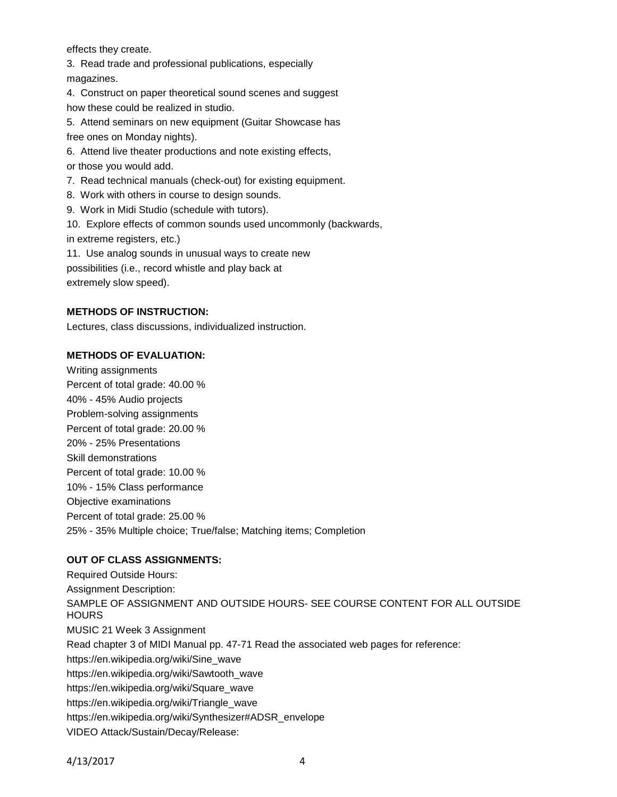effects they create.

3. Read trade and professional publications, especially magazines.

4. Construct on paper theoretical sound scenes and suggest how these could be realized in studio.

5. Attend seminars on new equipment (Guitar Showcase has free ones on Monday nights).

6. Attend live theater productions and note existing effects,

or those you would add.

7. Read technical manuals (check-out) for existing equipment.

8. Work with others in course to design sounds.

9. Work in Midi Studio (schedule with tutors).

10. Explore effects of common sounds used uncommonly (backwards, in extreme registers, etc.)

11. Use analog sounds in unusual ways to create new possibilities (i.e., record whistle and play back at extremely slow speed).

## **METHODS OF INSTRUCTION:**

Lectures, class discussions, individualized instruction.

### **METHODS OF EVALUATION:**

Writing assignments Percent of total grade: 40.00 % 40% - 45% Audio projects Problem-solving assignments Percent of total grade: 20.00 % 20% - 25% Presentations Skill demonstrations Percent of total grade: 10.00 % 10% - 15% Class performance Objective examinations Percent of total grade: 25.00 % 25% - 35% Multiple choice; True/false; Matching items; Completion

# **OUT OF CLASS ASSIGNMENTS:**

Required Outside Hours: Assignment Description: SAMPLE OF ASSIGNMENT AND OUTSIDE HOURS- SEE COURSE CONTENT FOR ALL OUTSIDE HOURS MUSIC 21 Week 3 Assignment Read chapter 3 of MIDI Manual pp. 47-71 Read the associated web pages for reference: https://en.wikipedia.org/wiki/Sine\_wave https://en.wikipedia.org/wiki/Sawtooth\_wave https://en.wikipedia.org/wiki/Square\_wave https://en.wikipedia.org/wiki/Triangle\_wave https://en.wikipedia.org/wiki/Synthesizer#ADSR\_envelope VIDEO Attack/Sustain/Decay/Release: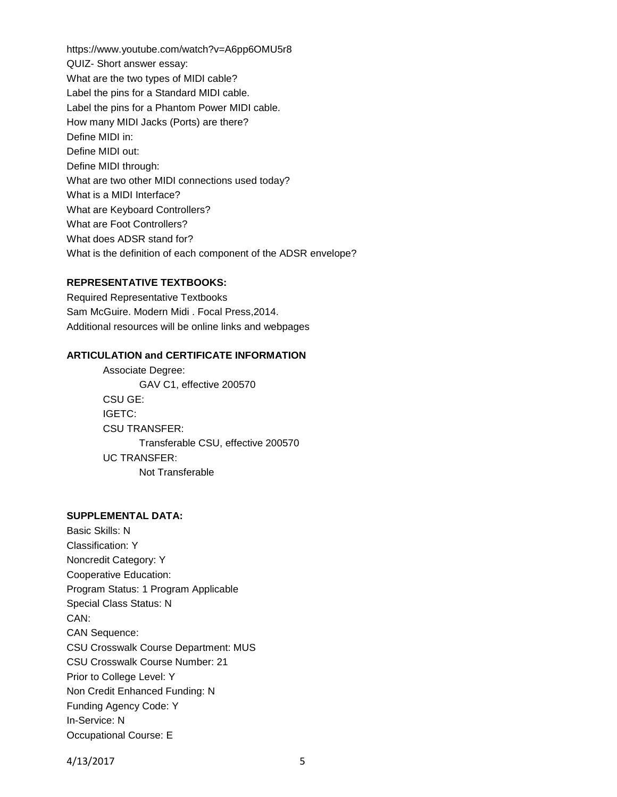https://www.youtube.com/watch?v=A6pp6OMU5r8 QUIZ- Short answer essay: What are the two types of MIDI cable? Label the pins for a Standard MIDI cable. Label the pins for a Phantom Power MIDI cable. How many MIDI Jacks (Ports) are there? Define MIDI in: Define MIDI out: Define MIDI through: What are two other MIDI connections used today? What is a MIDI Interface? What are Keyboard Controllers? What are Foot Controllers? What does ADSR stand for? What is the definition of each component of the ADSR envelope?

# **REPRESENTATIVE TEXTBOOKS:**

Required Representative Textbooks Sam McGuire. Modern Midi . Focal Press,2014. Additional resources will be online links and webpages

### **ARTICULATION and CERTIFICATE INFORMATION**

Associate Degree: GAV C1, effective 200570 CSU GE: IGETC: CSU TRANSFER: Transferable CSU, effective 200570 UC TRANSFER: Not Transferable

#### **SUPPLEMENTAL DATA:**

Basic Skills: N Classification: Y Noncredit Category: Y Cooperative Education: Program Status: 1 Program Applicable Special Class Status: N CAN: CAN Sequence: CSU Crosswalk Course Department: MUS CSU Crosswalk Course Number: 21 Prior to College Level: Y Non Credit Enhanced Funding: N Funding Agency Code: Y In-Service: N Occupational Course: E

4/13/2017 5